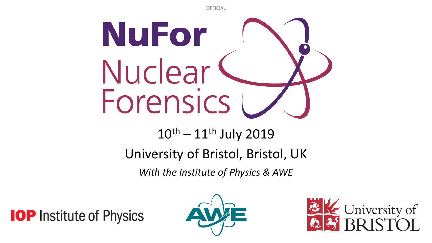**OFFICIAL** 



# $10^{th} - 11^{th}$  July 2019

#### University of Bristol, Bristol, UK

*With the Institute of Physics & AWE*

**IOP** Institute of Physics



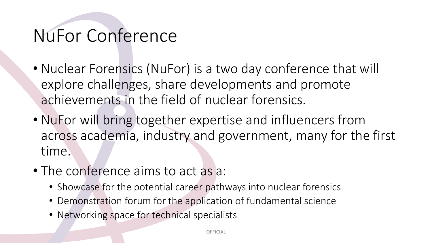## NuFor Conference

- Nuclear Forensics (NuFor) is a two day conference that will explore challenges, share developments and promote achievements in the field of nuclear forensics.
- NuFor will bring together expertise and influencers from across academia, industry and government, many for the first time.
- The conference aims to act as a:
	- Showcase for the potential career pathways into nuclear forensics
	- Demonstration forum for the application of fundamental science
	- Networking space for technical specialists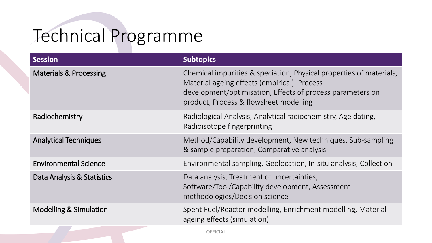## Technical Programme

| <b>Session</b>                    | <b>Subtopics</b>                                                                                                                                                                                                            |
|-----------------------------------|-----------------------------------------------------------------------------------------------------------------------------------------------------------------------------------------------------------------------------|
| <b>Materials &amp; Processing</b> | Chemical impurities & speciation, Physical properties of materials,<br>Material ageing effects (empirical), Process<br>development/optimisation, Effects of process parameters on<br>product, Process & flowsheet modelling |
| Radiochemistry                    | Radiological Analysis, Analytical radiochemistry, Age dating,<br>Radioisotope fingerprinting                                                                                                                                |
| <b>Analytical Techniques</b>      | Method/Capability development, New techniques, Sub-sampling<br>& sample preparation, Comparative analysis                                                                                                                   |
| <b>Environmental Science</b>      | Environmental sampling, Geolocation, In-situ analysis, Collection                                                                                                                                                           |
| Data Analysis & Statistics        | Data analysis, Treatment of uncertainties,<br>Software/Tool/Capability development, Assessment<br>methodologies/Decision science                                                                                            |
| <b>Modelling &amp; Simulation</b> | Spent Fuel/Reactor modelling, Enrichment modelling, Material<br>ageing effects (simulation)                                                                                                                                 |

**OFFICIAL**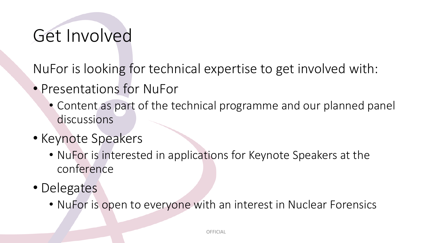## Get Involved

NuFor is looking for technical expertise to get involved with:

- Presentations for NuFor
	- Content as part of the technical programme and our planned panel discussions
- Keynote Speakers
	- NuFor is interested in applications for Keynote Speakers at the conference
- Delegates
	- NuFor is open to everyone with an interest in Nuclear Forensics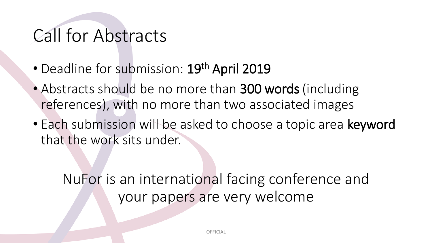### Call for Abstracts

- Deadline for submission: 19<sup>th</sup> April 2019
- Abstracts should be no more than 300 words (including references), with no more than two associated images
- Each submission will be asked to choose a topic area keyword that the work sits under.

#### NuFor is an international facing conference and your papers are very welcome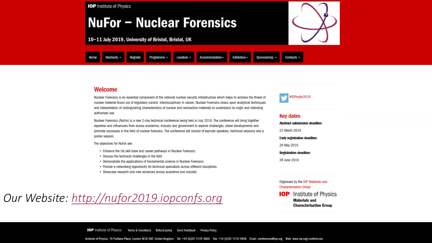

#### Welcome

Nuclear Forensics is an essential component of the national nuclear security infrastructure which helps to address the threat of nuclear material found out of regulatory control. Interdisciplinary in nature, Nuclear Forensics draws upon analytical techniques and interpretation of distinguishing characteristics of nuclear and radioactive materials to understand its origin and intending authorised use.

Nuclear Forensics (NuFor) is a new 2-day technical conference being held in July 2019. The conference will bring together expertise and influencers from across academia, industry and government to explore challenges, share developments and promote successes in the field of nuclear forensics. The conference will consist of keynote speakers, technical sessions and a poster session.

The objectives for NuFor are:

- Enhance the UK skill base and career pathways in Nuclear Forensics
- Discuss the technical challenges in the field
- Demonstrate the applications of fundamental science in Nuclear Forensics
- Provide a networking opportunity for technical specialists across different disciplines
- · Showcase research and new advances across academia and industry

*Our Website: [http://nufor2019.iopconfs.org](http://nufor2019.iopconfs.org/)*



#### **Key dates**

**Abstract submission deadline:** 22 March 2019 Early registration deadline: 29 May 2019 **Registration deadline:** 

28 June 2019

Organised by the IOP Materials and **Characterisation Group** 

Institute of Physics IOP I **Materials and Characterisation Group** 

**IOP** Institute of Physics Terms & Conditions Refund policy Send Feedback Privacy Policy

Institute of Physics, 76 Portland Place, London W1B 1NT, United Kingdom Tel: +44 (0)20 7470 4800 Fax: +44 (0)20 7470 4848 Email: conferences@iop.org Web: www.iop.org/conferences